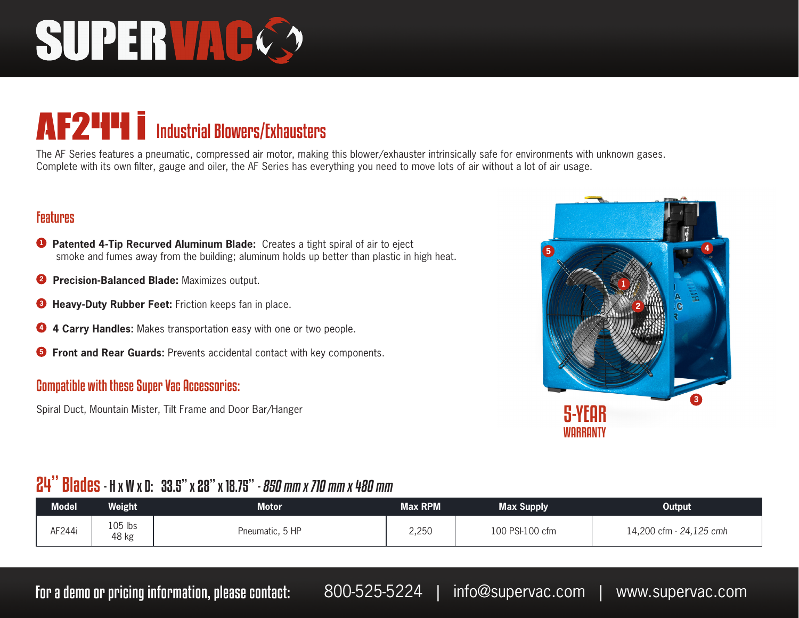# SUPERVAC.

### AF2<sup>44</sup> industrial Blowers/Exhausters

The AF Series features a pneumatic, compressed air motor, making this blower/exhauster intrinsically safe for environments with unknown gases. Complete with its own filter, gauge and oiler, the AF Series has everything you need to move lots of air without a lot of air usage.

#### Features

- **<sup>1</sup> Patented 4-Tip Recurved Aluminum Blade:** Creates a tight spiral of air to eject smoke and fumes away from the building; aluminum holds up better than plastic in high heat.
- **2 Precision-Balanced Blade:** Maximizes output.
- **<sup>3</sup> Heavy-Duty Rubber Feet:** Friction keeps fan in place.
- **<sup>4</sup> 4 Carry Handles:** Makes transportation easy with one or two people.
- **<sup>5</sup> Front and Rear Guards:** Prevents accidental contact with key components.

#### Compatible with these Super Vac Accessories:

Spiral Duct, Mountain Mister, Tilt Frame and Door Bar/Hanger



#### 24" Blades - H x W x D: 33.5" x 28" x 18.75" - 850 mm x 710 mm x 480 mm

| <b>Model</b> | Weight           | Motor           | <b>Max RPM</b> | <b>Max Supply</b> | <b>Output</b>           |
|--------------|------------------|-----------------|----------------|-------------------|-------------------------|
| AF244i       | 105 lbs<br>48 kg | Pneumatic, 5 HP | 2,250          | 100 PSI-100 cfm   | 14,200 cfm - 24,125 cmh |

For a demo or pricing information, please contact: 800-525-5224 | info@supervac.com | www.supervac.com